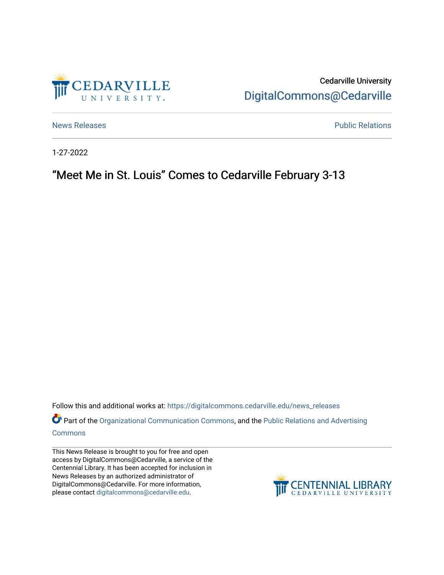

Cedarville University [DigitalCommons@Cedarville](https://digitalcommons.cedarville.edu/) 

[News Releases](https://digitalcommons.cedarville.edu/news_releases) **Public Relations Public Relations** 

1-27-2022

## "Meet Me in St. Louis" Comes to Cedarville February 3-13

Follow this and additional works at: [https://digitalcommons.cedarville.edu/news\\_releases](https://digitalcommons.cedarville.edu/news_releases?utm_source=digitalcommons.cedarville.edu%2Fnews_releases%2F1488&utm_medium=PDF&utm_campaign=PDFCoverPages) 

Part of the [Organizational Communication Commons](http://network.bepress.com/hgg/discipline/335?utm_source=digitalcommons.cedarville.edu%2Fnews_releases%2F1488&utm_medium=PDF&utm_campaign=PDFCoverPages), and the Public Relations and Advertising [Commons](http://network.bepress.com/hgg/discipline/336?utm_source=digitalcommons.cedarville.edu%2Fnews_releases%2F1488&utm_medium=PDF&utm_campaign=PDFCoverPages)

This News Release is brought to you for free and open access by DigitalCommons@Cedarville, a service of the Centennial Library. It has been accepted for inclusion in News Releases by an authorized administrator of DigitalCommons@Cedarville. For more information, please contact [digitalcommons@cedarville.edu](mailto:digitalcommons@cedarville.edu).